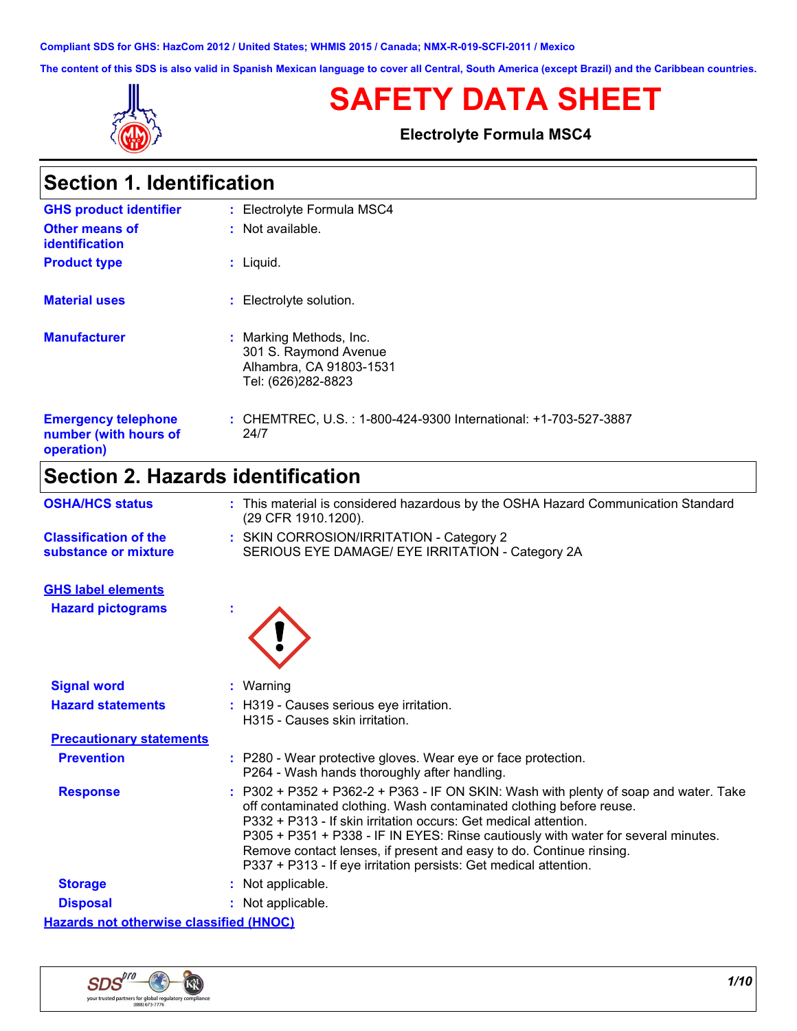**Compliant SDS for GHS: HazCom 2012 / United States; WHMIS 2015 / Canada; NMX-R-019-SCFI-2011 / Mexico**

**The content of this SDS is also valid in Spanish Mexican language to cover all Central, South America (except Brazil) and the Caribbean countries.**



**Section 1. Identification**

# **SAFETY DATA SHEET**

**Electrolyte Formula MSC4**

| OGCHOTE FIQGIRIICANOH                                             |                                                                                                   |
|-------------------------------------------------------------------|---------------------------------------------------------------------------------------------------|
| <b>GHS product identifier</b>                                     | : Electrolyte Formula MSC4                                                                        |
| Other means of<br>identification                                  | $:$ Not available.                                                                                |
| <b>Product type</b>                                               | $:$ Liquid.                                                                                       |
| <b>Material uses</b>                                              | : Electrolyte solution.                                                                           |
| <b>Manufacturer</b>                                               | : Marking Methods, Inc.<br>301 S. Raymond Avenue<br>Alhambra, CA 91803-1531<br>Tel: (626)282-8823 |
| <b>Emergency telephone</b><br>number (with hours of<br>operation) | : CHEMTREC, U.S. : 1-800-424-9300 International: +1-703-527-3887<br>24/7                          |

# **Section 2. Hazards identification**

| <b>OSHA/HCS status</b>                               | : This material is considered hazardous by the OSHA Hazard Communication Standard<br>(29 CFR 1910.1200).                                                                                                                                                                                                                                                                                                                                                       |
|------------------------------------------------------|----------------------------------------------------------------------------------------------------------------------------------------------------------------------------------------------------------------------------------------------------------------------------------------------------------------------------------------------------------------------------------------------------------------------------------------------------------------|
| <b>Classification of the</b><br>substance or mixture | : SKIN CORROSION/IRRITATION - Category 2<br>SERIOUS EYE DAMAGE/ EYE IRRITATION - Category 2A                                                                                                                                                                                                                                                                                                                                                                   |
| <b>GHS label elements</b>                            |                                                                                                                                                                                                                                                                                                                                                                                                                                                                |
| <b>Hazard pictograms</b>                             |                                                                                                                                                                                                                                                                                                                                                                                                                                                                |
| <b>Signal word</b>                                   | : Warning                                                                                                                                                                                                                                                                                                                                                                                                                                                      |
| <b>Hazard statements</b>                             | : H319 - Causes serious eye irritation.<br>H315 - Causes skin irritation.                                                                                                                                                                                                                                                                                                                                                                                      |
| <b>Precautionary statements</b>                      |                                                                                                                                                                                                                                                                                                                                                                                                                                                                |
| <b>Prevention</b>                                    | : P280 - Wear protective gloves. Wear eye or face protection.<br>P264 - Wash hands thoroughly after handling.                                                                                                                                                                                                                                                                                                                                                  |
| <b>Response</b>                                      | : P302 + P352 + P362-2 + P363 - IF ON SKIN: Wash with plenty of soap and water. Take<br>off contaminated clothing. Wash contaminated clothing before reuse.<br>P332 + P313 - If skin irritation occurs: Get medical attention.<br>P305 + P351 + P338 - IF IN EYES: Rinse cautiously with water for several minutes.<br>Remove contact lenses, if present and easy to do. Continue rinsing.<br>P337 + P313 - If eye irritation persists: Get medical attention. |
| <b>Storage</b>                                       | : Not applicable.                                                                                                                                                                                                                                                                                                                                                                                                                                              |
| <b>Disposal</b>                                      | : Not applicable.                                                                                                                                                                                                                                                                                                                                                                                                                                              |
| <b>Hazards not otherwise classified (HNOC)</b>       |                                                                                                                                                                                                                                                                                                                                                                                                                                                                |

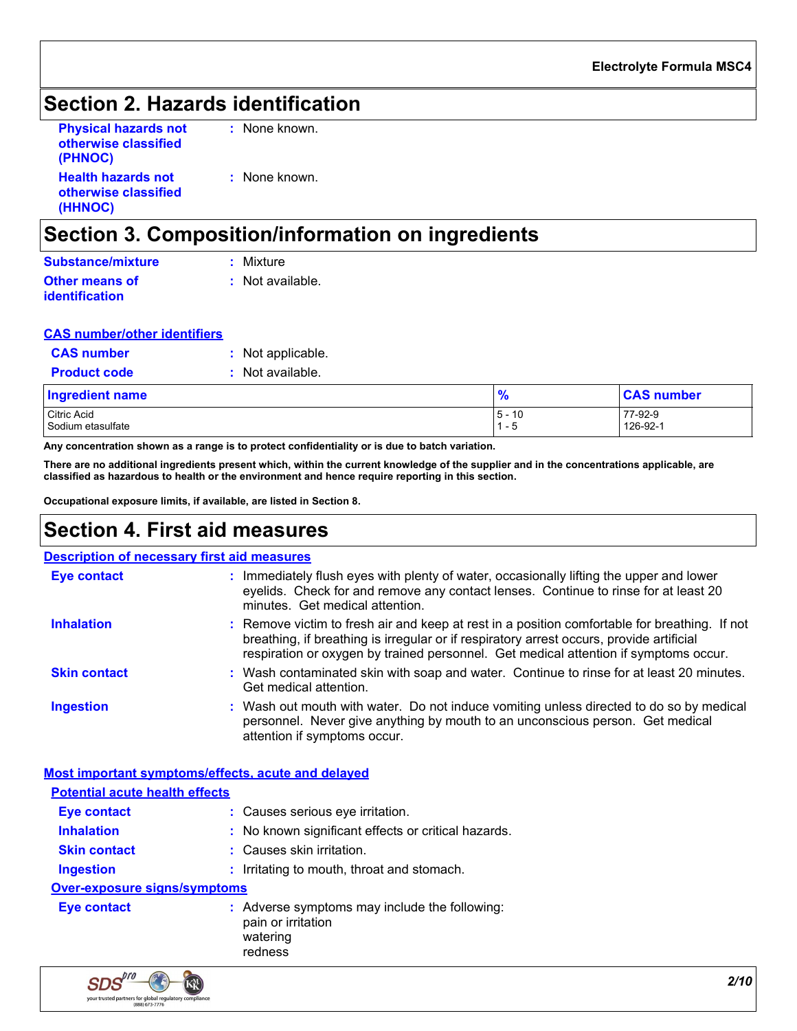# **Section 2. Hazards identification**

| <b>Physical hazards not</b> | $:$ None |
|-----------------------------|----------|
| otherwise classified        |          |
| (PHNOC)                     |          |
| <b>Health hazards not</b>   | $:$ None |
| otherwise classified        |          |
| (HHNOC)                     |          |

e known.

e known.

# **Section 3. Composition/information on ingredients**

| <b>Substance/mixture</b> | : Mixture        |
|--------------------------|------------------|
| <b>Other means of</b>    | : Not available. |
| <i>identification</i>    |                  |

| <b>CAS number/other identifiers</b> |  |
|-------------------------------------|--|
|-------------------------------------|--|

| <b>CAS number</b>      | : Not applicable. |
|------------------------|-------------------|
| <b>Product code</b>    | : Not available.  |
| <b>Ingredient name</b> |                   |

| Ingredient name   | - 0             | <b>CAS number</b> |
|-------------------|-----------------|-------------------|
| Citric Acid       | 10<br>5 -<br>ιv | 77-92-9           |
| Sodium etasulfate | : - ఒ           | 126-92-1          |

**Any concentration shown as a range is to protect confidentiality or is due to batch variation.**

**There are no additional ingredients present which, within the current knowledge of the supplier and in the concentrations applicable, are classified as hazardous to health or the environment and hence require reporting in this section.**

**Occupational exposure limits, if available, are listed in Section 8.**

### **Section 4. First aid measures**

| <b>Description of necessary first aid measures</b> |                                                                                                                                                                                                                                                                                   |
|----------------------------------------------------|-----------------------------------------------------------------------------------------------------------------------------------------------------------------------------------------------------------------------------------------------------------------------------------|
| <b>Eye contact</b>                                 | : Immediately flush eyes with plenty of water, occasionally lifting the upper and lower<br>eyelids. Check for and remove any contact lenses. Continue to rinse for at least 20<br>minutes. Get medical attention.                                                                 |
| <b>Inhalation</b>                                  | : Remove victim to fresh air and keep at rest in a position comfortable for breathing. If not<br>breathing, if breathing is irregular or if respiratory arrest occurs, provide artificial<br>respiration or oxygen by trained personnel. Get medical attention if symptoms occur. |
| <b>Skin contact</b>                                | : Wash contaminated skin with soap and water. Continue to rinse for at least 20 minutes.<br>Get medical attention.                                                                                                                                                                |
| <b>Ingestion</b>                                   | : Wash out mouth with water. Do not induce vomiting unless directed to do so by medical<br>personnel. Never give anything by mouth to an unconscious person. Get medical<br>attention if symptoms occur.                                                                          |

| Most important symptoms/effects, acute and delayed |                                                                                            |
|----------------------------------------------------|--------------------------------------------------------------------------------------------|
| <b>Potential acute health effects</b>              |                                                                                            |
| <b>Eye contact</b>                                 | : Causes serious eye irritation.                                                           |
| <b>Inhalation</b>                                  | : No known significant effects or critical hazards.                                        |
| <b>Skin contact</b>                                | : Causes skin irritation.                                                                  |
| Ingestion                                          | : Irritating to mouth, throat and stomach.                                                 |
| <b>Over-exposure signs/symptoms</b>                |                                                                                            |
| <b>Eye contact</b>                                 | : Adverse symptoms may include the following:<br>pain or irritation<br>watering<br>redness |
| $\sim$ $\sim$ $\sim$                               |                                                                                            |

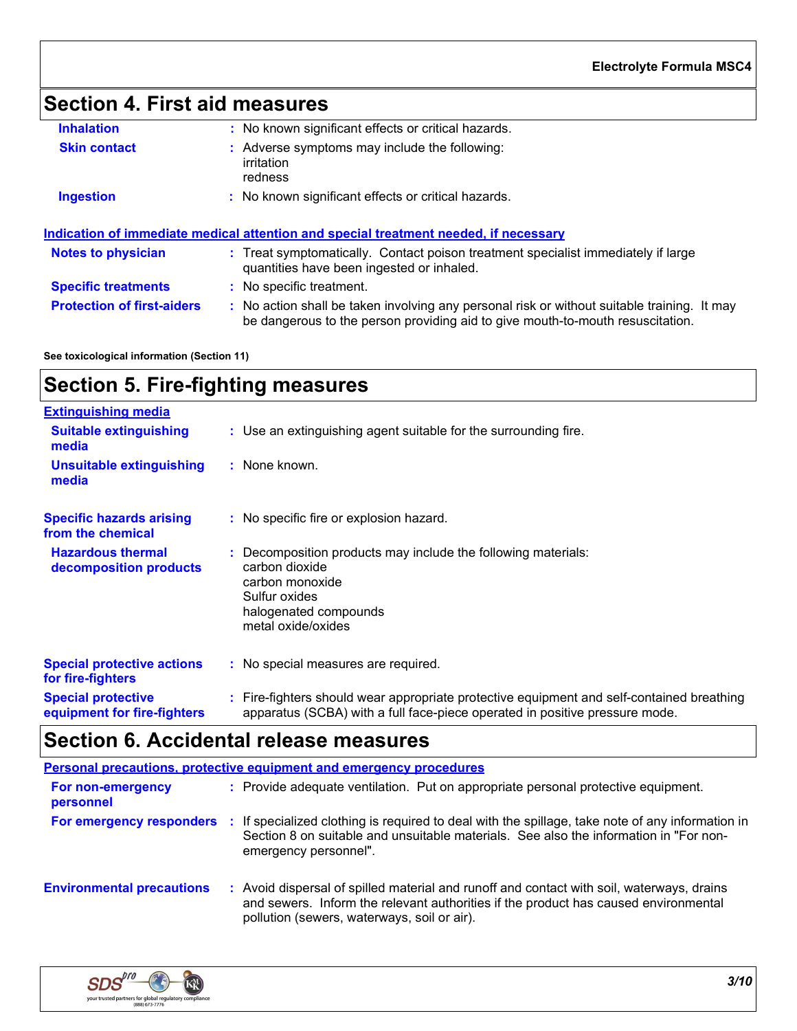# **Section 4. First aid measures**

| <b>Inhalation</b>                 | : No known significant effects or critical hazards.                                                                                                                           |
|-----------------------------------|-------------------------------------------------------------------------------------------------------------------------------------------------------------------------------|
| <b>Skin contact</b>               | : Adverse symptoms may include the following:<br>irritation<br>redness                                                                                                        |
| <b>Ingestion</b>                  | : No known significant effects or critical hazards.                                                                                                                           |
|                                   | Indication of immediate medical attention and special treatment needed, if necessary                                                                                          |
| <b>Notes to physician</b>         | : Treat symptomatically. Contact poison treatment specialist immediately if large<br>quantities have been ingested or inhaled.                                                |
| <b>Specific treatments</b>        | : No specific treatment.                                                                                                                                                      |
| <b>Protection of first-aiders</b> | : No action shall be taken involving any personal risk or without suitable training. It may<br>be dangerous to the person providing aid to give mouth-to-mouth resuscitation. |

**See toxicological information (Section 11)**

# **Section 5. Fire-fighting measures**

| <b>Extinguishing media</b>                               |                                                                                                                                                                          |
|----------------------------------------------------------|--------------------------------------------------------------------------------------------------------------------------------------------------------------------------|
| <b>Suitable extinguishing</b><br>media                   | : Use an extinguishing agent suitable for the surrounding fire.                                                                                                          |
| <b>Unsuitable extinguishing</b><br>media                 | : None known.                                                                                                                                                            |
| <b>Specific hazards arising</b><br>from the chemical     | : No specific fire or explosion hazard.                                                                                                                                  |
| <b>Hazardous thermal</b><br>decomposition products       | : Decomposition products may include the following materials:<br>carbon dioxide<br>carbon monoxide<br>Sulfur oxides<br>halogenated compounds<br>metal oxide/oxides       |
| <b>Special protective actions</b><br>for fire-fighters   | : No special measures are required.                                                                                                                                      |
| <b>Special protective</b><br>equipment for fire-fighters | : Fire-fighters should wear appropriate protective equipment and self-contained breathing<br>apparatus (SCBA) with a full face-piece operated in positive pressure mode. |

# **Section 6. Accidental release measures**

|                                  | <b>Personal precautions, protective equipment and emergency procedures</b>                                                                                                                                                    |
|----------------------------------|-------------------------------------------------------------------------------------------------------------------------------------------------------------------------------------------------------------------------------|
| For non-emergency<br>personnel   | : Provide adequate ventilation. Put on appropriate personal protective equipment.                                                                                                                                             |
| For emergency responders         | If specialized clothing is required to deal with the spillage, take note of any information in<br>Section 8 on suitable and unsuitable materials. See also the information in "For non-<br>emergency personnel".              |
| <b>Environmental precautions</b> | Avoid dispersal of spilled material and runoff and contact with soil, waterways, drains<br>and sewers. Inform the relevant authorities if the product has caused environmental<br>pollution (sewers, waterways, soil or air). |

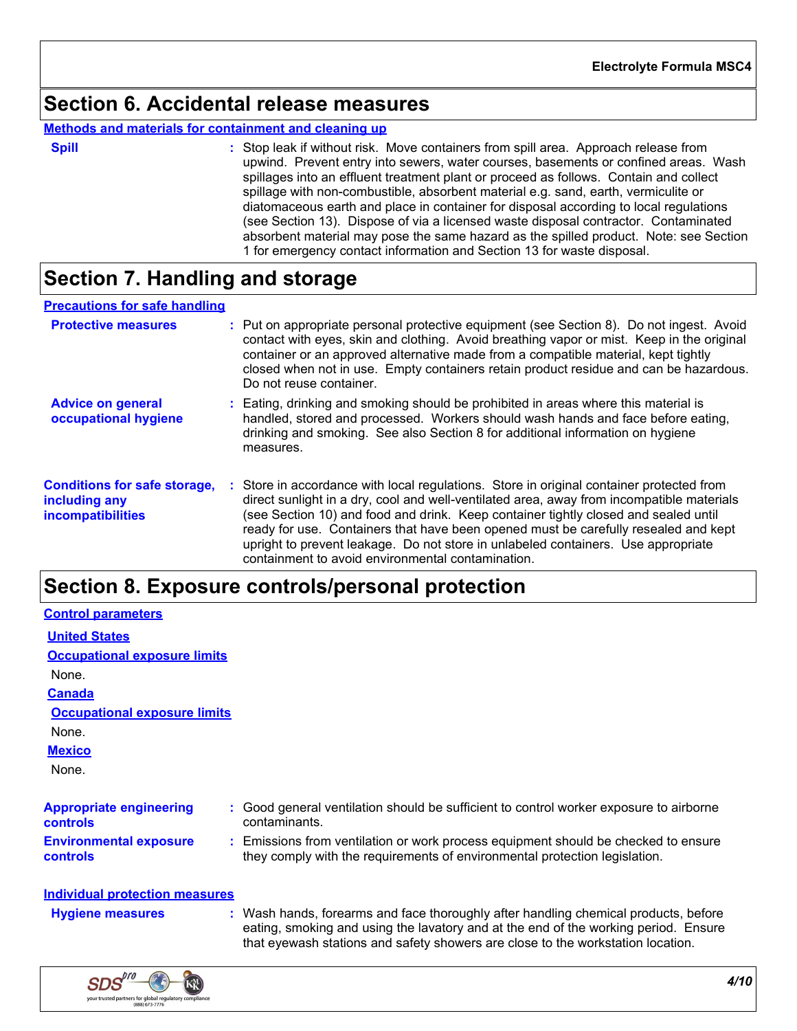## **Section 6. Accidental release measures**

### **Methods and materials for containment and cleaning up**

| ×<br>٦ |  |  |
|--------|--|--|

**Spill** Stop leak if without risk. Move containers from spill area. Approach release from spill upwind. Prevent entry into sewers, water courses, basements or confined areas. Wash spillages into an effluent treatment plant or proceed as follows. Contain and collect spillage with non-combustible, absorbent material e.g. sand, earth, vermiculite or diatomaceous earth and place in container for disposal according to local regulations (see Section 13). Dispose of via a licensed waste disposal contractor. Contaminated absorbent material may pose the same hazard as the spilled product. Note: see Section 1 for emergency contact information and Section 13 for waste disposal.

# **Section 7. Handling and storage**

### **Precautions for safe handling**

| <b>Protective measures</b>                                                |    | : Put on appropriate personal protective equipment (see Section 8). Do not ingest. Avoid<br>contact with eyes, skin and clothing. Avoid breathing vapor or mist. Keep in the original<br>container or an approved alternative made from a compatible material, kept tightly<br>closed when not in use. Empty containers retain product residue and can be hazardous.<br>Do not reuse container.                                                                                                             |
|---------------------------------------------------------------------------|----|-------------------------------------------------------------------------------------------------------------------------------------------------------------------------------------------------------------------------------------------------------------------------------------------------------------------------------------------------------------------------------------------------------------------------------------------------------------------------------------------------------------|
| <b>Advice on general</b><br>occupational hygiene                          |    | Eating, drinking and smoking should be prohibited in areas where this material is<br>handled, stored and processed. Workers should wash hands and face before eating,<br>drinking and smoking. See also Section 8 for additional information on hygiene<br>measures.                                                                                                                                                                                                                                        |
| <b>Conditions for safe storage,</b><br>including any<br>incompatibilities | ÷. | Store in accordance with local regulations. Store in original container protected from<br>direct sunlight in a dry, cool and well-ventilated area, away from incompatible materials<br>(see Section 10) and food and drink. Keep container tightly closed and sealed until<br>ready for use. Containers that have been opened must be carefully resealed and kept<br>upright to prevent leakage. Do not store in unlabeled containers. Use appropriate<br>containment to avoid environmental contamination. |

### **Section 8. Exposure controls/personal protection**

| <b>Control parameters</b>                  |                                                                                                                                                                  |
|--------------------------------------------|------------------------------------------------------------------------------------------------------------------------------------------------------------------|
| <b>United States</b>                       |                                                                                                                                                                  |
| <b>Occupational exposure limits</b>        |                                                                                                                                                                  |
| None.                                      |                                                                                                                                                                  |
| <b>Canada</b>                              |                                                                                                                                                                  |
| <b>Occupational exposure limits</b>        |                                                                                                                                                                  |
| None.                                      |                                                                                                                                                                  |
| <b>Mexico</b>                              |                                                                                                                                                                  |
| None.                                      |                                                                                                                                                                  |
| <b>Appropriate engineering</b><br>controls | : Good general ventilation should be sufficient to control worker exposure to airborne<br>contaminants.                                                          |
| <b>Environmental exposure</b><br>controls  | : Emissions from ventilation or work process equipment should be checked to ensure<br>they comply with the requirements of environmental protection legislation. |
| Individual protection measures             |                                                                                                                                                                  |

Wash hands, forearms and face thoroughly after handling chemical products, before eating, smoking and using the lavatory and at the end of the working period. Ensure that eyewash stations and safety showers are close to the workstation location. **Hygiene measures :**

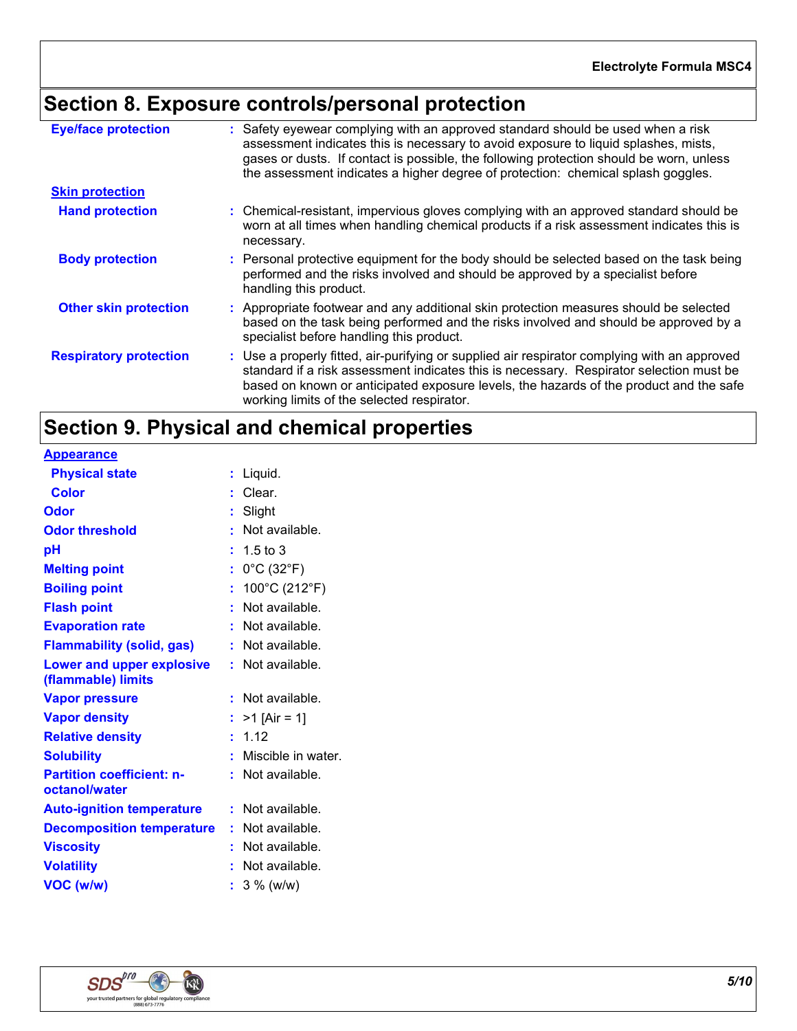# **Section 8. Exposure controls/personal protection**

| <b>Eye/face protection</b>    | : Safety eyewear complying with an approved standard should be used when a risk<br>assessment indicates this is necessary to avoid exposure to liquid splashes, mists,<br>gases or dusts. If contact is possible, the following protection should be worn, unless<br>the assessment indicates a higher degree of protection: chemical splash goggles. |
|-------------------------------|-------------------------------------------------------------------------------------------------------------------------------------------------------------------------------------------------------------------------------------------------------------------------------------------------------------------------------------------------------|
| <b>Skin protection</b>        |                                                                                                                                                                                                                                                                                                                                                       |
| <b>Hand protection</b>        | : Chemical-resistant, impervious gloves complying with an approved standard should be<br>worn at all times when handling chemical products if a risk assessment indicates this is<br>necessary.                                                                                                                                                       |
| <b>Body protection</b>        | : Personal protective equipment for the body should be selected based on the task being<br>performed and the risks involved and should be approved by a specialist before<br>handling this product.                                                                                                                                                   |
| <b>Other skin protection</b>  | : Appropriate footwear and any additional skin protection measures should be selected<br>based on the task being performed and the risks involved and should be approved by a<br>specialist before handling this product.                                                                                                                             |
| <b>Respiratory protection</b> | : Use a properly fitted, air-purifying or supplied air respirator complying with an approved<br>standard if a risk assessment indicates this is necessary. Respirator selection must be<br>based on known or anticipated exposure levels, the hazards of the product and the safe<br>working limits of the selected respirator.                       |

# **Section 9. Physical and chemical properties**

| <b>Appearance</b>                                 |                                       |
|---------------------------------------------------|---------------------------------------|
| <b>Physical state</b>                             | Liquid.<br>t                          |
| <b>Color</b>                                      | : Clear.                              |
| <b>Odor</b>                                       | Slight<br>t.                          |
| <b>Odor threshold</b>                             | Not available.<br>٠                   |
| рH                                                | 1.5 to 3                              |
| <b>Melting point</b>                              | $0^{\circ}$ C (32 $^{\circ}$ F)<br>t. |
| <b>Boiling point</b>                              | 100°C (212°F)<br>ř.                   |
| <b>Flash point</b>                                | Not available.<br>t.                  |
| <b>Evaporation rate</b>                           | : Not available.                      |
| <b>Flammability (solid, gas)</b>                  | : Not available.                      |
| Lower and upper explosive<br>(flammable) limits   | : Not available.                      |
| <b>Vapor pressure</b>                             | Not available.<br>÷.                  |
| <b>Vapor density</b>                              | : $>1$ [Air = 1]                      |
| <b>Relative density</b>                           | : 1.12                                |
| <b>Solubility</b>                                 | Miscible in water.<br>ŧ.              |
| <b>Partition coefficient: n-</b><br>octanol/water | : Not available.                      |
| <b>Auto-ignition temperature</b>                  | $:$ Not available.                    |
| <b>Decomposition temperature</b>                  | $:$ Not available.                    |
| <b>Viscosity</b>                                  | : Not available.                      |
| <b>Volatility</b>                                 | Not available.                        |
| VOC (w/w)                                         | $3\%$ (w/w)                           |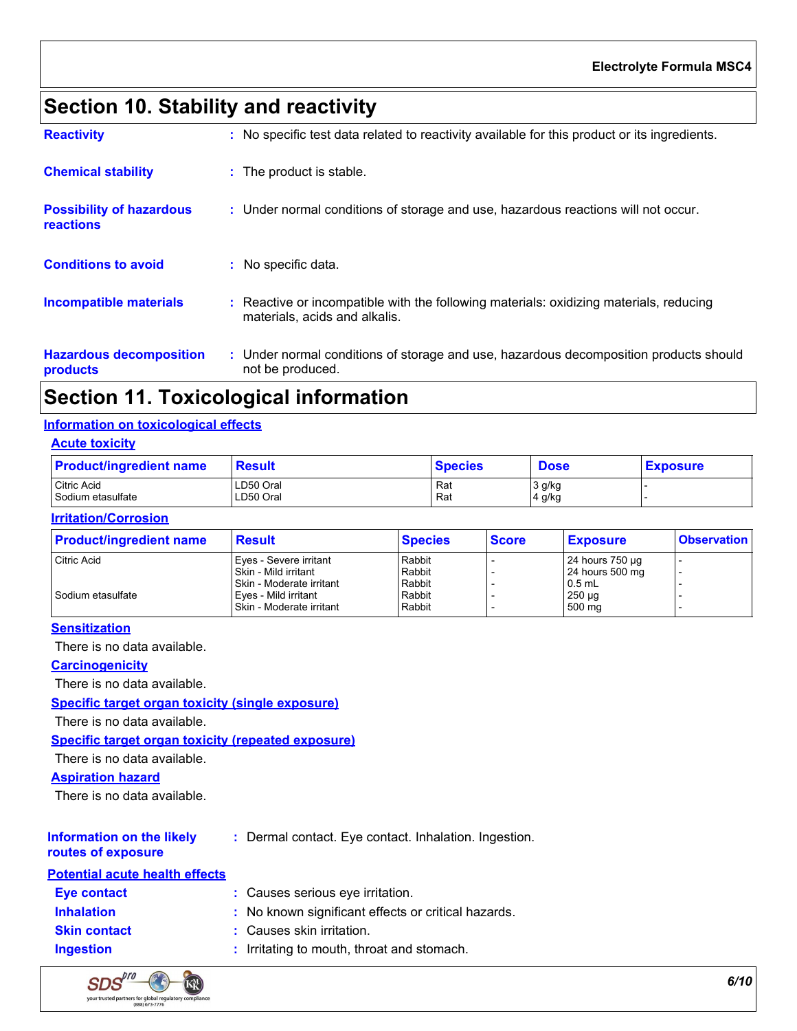# **Section 10. Stability and reactivity**

| <b>Reactivity</b>                            | : No specific test data related to reactivity available for this product or its ingredients.                            |
|----------------------------------------------|-------------------------------------------------------------------------------------------------------------------------|
| <b>Chemical stability</b>                    | : The product is stable.                                                                                                |
| <b>Possibility of hazardous</b><br>reactions | : Under normal conditions of storage and use, hazardous reactions will not occur.                                       |
| <b>Conditions to avoid</b>                   | : No specific data.                                                                                                     |
| Incompatible materials                       | : Reactive or incompatible with the following materials: oxidizing materials, reducing<br>materials, acids and alkalis. |
| <b>Hazardous decomposition</b><br>products   | : Under normal conditions of storage and use, hazardous decomposition products should<br>not be produced.               |

# **Section 11. Toxicological information**

### **Information on toxicological effects**

### **Acute toxicity**

| <b>Product/ingredient name</b> | <b>Result</b> | Species | <b>Dose</b> | <b>Exposure</b> |
|--------------------------------|---------------|---------|-------------|-----------------|
| Citric Acid                    | LD50 Oral     | Rat     | 3 g/kg      |                 |
| Sodium etasulfate              | LD50 Oral     | Rat     | 4 g/kg      |                 |

### **Irritation/Corrosion**

| <b>Product/ingredient name</b> | <b>Result</b>              | <b>Species</b> | <b>Score</b> | <b>Exposure</b>      | <b>Observation</b> |
|--------------------------------|----------------------------|----------------|--------------|----------------------|--------------------|
| <b>Citric Acid</b>             | Eyes - Severe irritant     | Rabbit         |              | 24 hours $750 \mu g$ |                    |
|                                | Skin - Mild irritant       | Rabbit         |              | 24 hours 500 mg      |                    |
|                                | I Skin - Moderate irritant | Rabbit         |              | $0.5$ mL             |                    |
| Sodium etasulfate              | Eves - Mild irritant       | Rabbit         |              | $250 \mu g$          |                    |
|                                | Skin - Moderate irritant   | Rabbit         |              | 500 mg               |                    |

#### **Sensitization**

There is no data available.

### **Carcinogenicity**

There is no data available.

#### **Specific target organ toxicity (single exposure)**

There is no data available.

#### **Specific target organ toxicity (repeated exposure)**

There is no data available.

### **Aspiration hazard**

There is no data available.

# **Information on the likely**

**:** Dermal contact. Eye contact. Inhalation. Ingestion.

### **routes of exposure**

| <b>Potential acute health effects</b> |                                                     |
|---------------------------------------|-----------------------------------------------------|
| <b>Eye contact</b>                    | : Causes serious eye irritation.                    |
| <b>Inhalation</b>                     | : No known significant effects or critical hazards. |
| <b>Skin contact</b>                   | : Causes skin irritation.                           |
| <b>Ingestion</b>                      | : Irritating to mouth, throat and stomach.          |

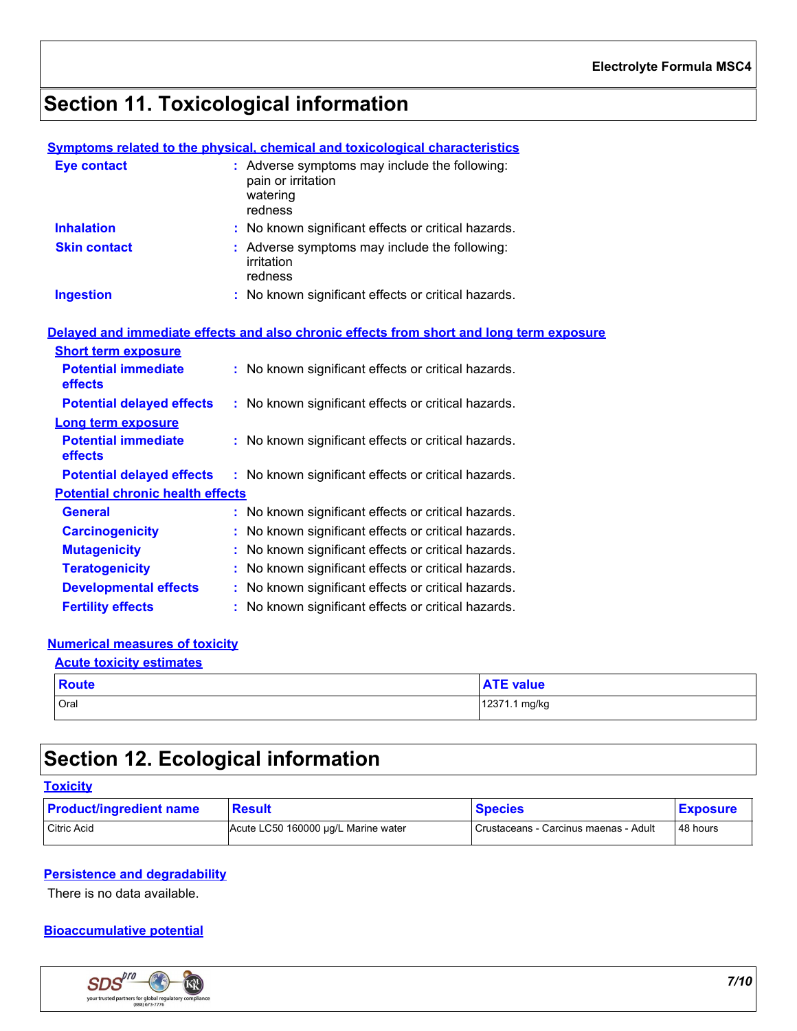# **Section 11. Toxicological information**

### **Symptoms related to the physical, chemical and toxicological characteristics**

| <b>Eye contact</b>                      | : Adverse symptoms may include the following:<br>pain or irritation<br>watering<br>redness |
|-----------------------------------------|--------------------------------------------------------------------------------------------|
| <b>Inhalation</b>                       | : No known significant effects or critical hazards.                                        |
| <b>Skin contact</b>                     | : Adverse symptoms may include the following:<br>irritation<br>redness                     |
| <b>Ingestion</b>                        | : No known significant effects or critical hazards.                                        |
|                                         | Delayed and immediate effects and also chronic effects from short and long term exposure   |
| <b>Short term exposure</b>              |                                                                                            |
| <b>Potential immediate</b><br>effects   | : No known significant effects or critical hazards.                                        |
| <b>Potential delayed effects</b>        | : No known significant effects or critical hazards.                                        |
| <b>Long term exposure</b>               |                                                                                            |
| <b>Potential immediate</b><br>effects   | : No known significant effects or critical hazards.                                        |
| <b>Potential delayed effects</b>        | : No known significant effects or critical hazards.                                        |
| <b>Potential chronic health effects</b> |                                                                                            |
| <b>General</b>                          | : No known significant effects or critical hazards.                                        |
| <b>Carcinogenicity</b>                  | : No known significant effects or critical hazards.                                        |
| <b>Mutagenicity</b>                     | : No known significant effects or critical hazards.                                        |
| <b>Teratogenicity</b>                   | : No known significant effects or critical hazards.                                        |
| <b>Developmental effects</b>            | : No known significant effects or critical hazards.                                        |
| <b>Fertility effects</b>                | : No known significant effects or critical hazards.                                        |

### **Numerical measures of toxicity**

| <b>Acute toxicity estimates</b> |                  |
|---------------------------------|------------------|
| <b>Route</b>                    | <b>ATE value</b> |
| Oral                            | 12371.1 mg/kg    |

# **Section 12. Ecological information**

| <b>Toxicity</b>                |                                     |                                       |                 |
|--------------------------------|-------------------------------------|---------------------------------------|-----------------|
| <b>Product/ingredient name</b> | <b>Result</b>                       | <b>Species</b>                        | <b>Exposure</b> |
| Citric Acid                    | Acute LC50 160000 µg/L Marine water | Crustaceans - Carcinus maenas - Adult | 48 hours        |

### **Persistence and degradability**

There is no data available.

### **Bioaccumulative potential**

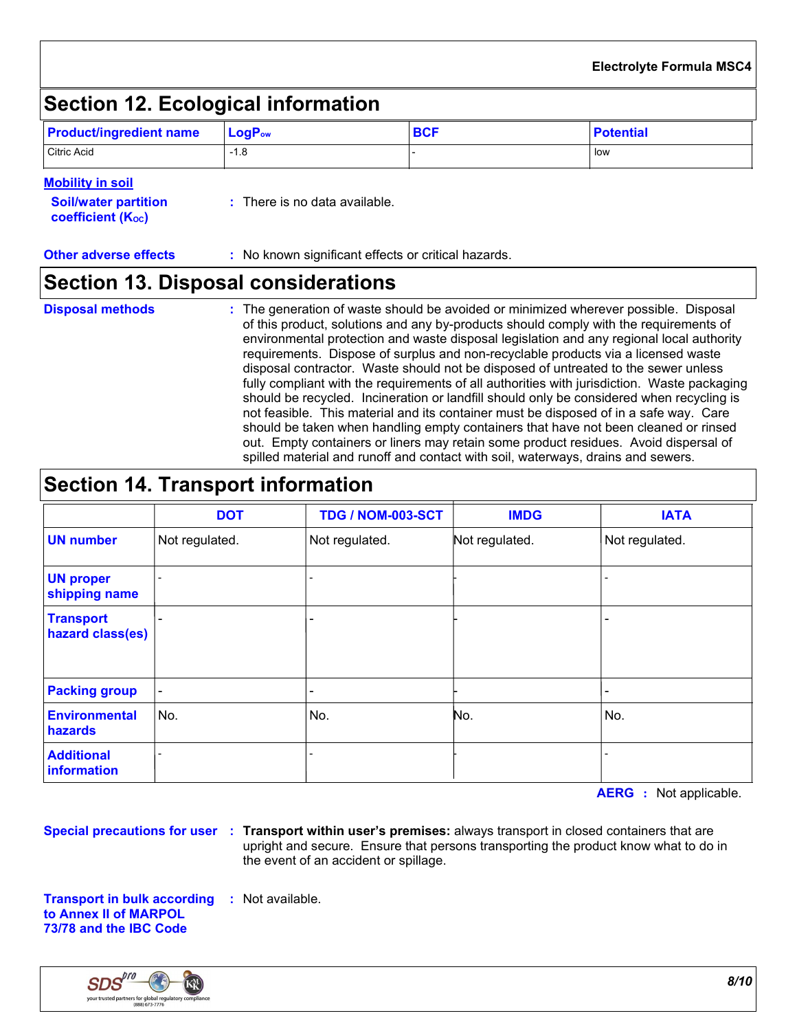# **Section 12. Ecological information**

| <b>Product/ingredient name</b> | $\blacksquare$ Log $\mathsf{P}_{\mathsf{ow}}$ | <b>BCF</b> | <b>Potential</b> |
|--------------------------------|-----------------------------------------------|------------|------------------|
| Citric Acid                    | $-1.8$                                        |            | low              |

### **Mobility in soil**

| <b>Soil/water partition</b><br>coefficient (K <sub>oc</sub> ) | : There is no data available. |
|---------------------------------------------------------------|-------------------------------|
|                                                               |                               |

**Other adverse effects** : No known significant effects or critical hazards.

### **Section 13. Disposal considerations**

### **Disposal methods :**

The generation of waste should be avoided or minimized wherever possible. Disposal of this product, solutions and any by-products should comply with the requirements of environmental protection and waste disposal legislation and any regional local authority requirements. Dispose of surplus and non-recyclable products via a licensed waste disposal contractor. Waste should not be disposed of untreated to the sewer unless fully compliant with the requirements of all authorities with jurisdiction. Waste packaging should be recycled. Incineration or landfill should only be considered when recycling is not feasible. This material and its container must be disposed of in a safe way. Care should be taken when handling empty containers that have not been cleaned or rinsed out. Empty containers or liners may retain some product residues. Avoid dispersal of spilled material and runoff and contact with soil, waterways, drains and sewers.

## **Section 14. Transport information**

|                                      | <b>DOT</b>     | <b>TDG / NOM-003-SCT</b> | <b>IMDG</b>    | <b>IATA</b>    |
|--------------------------------------|----------------|--------------------------|----------------|----------------|
| <b>UN number</b>                     | Not regulated. | Not regulated.           | Not regulated. | Not regulated. |
| <b>UN proper</b><br>shipping name    |                | -                        |                |                |
| <b>Transport</b><br>hazard class(es) |                | $\overline{\phantom{0}}$ |                |                |
| <b>Packing group</b>                 |                | -                        |                |                |
| <b>Environmental</b><br>hazards      | No.            | No.                      | No.            | No.            |
| <b>Additional</b><br>information     |                | $\overline{\phantom{0}}$ |                |                |

**AERG :** Not applicable.

**Special precautions for user Transport within user's premises:** always transport in closed containers that are **:** upright and secure. Ensure that persons transporting the product know what to do in the event of an accident or spillage.

**Transport in bulk according :** Not available. **to Annex II of MARPOL 73/78 and the IBC Code**

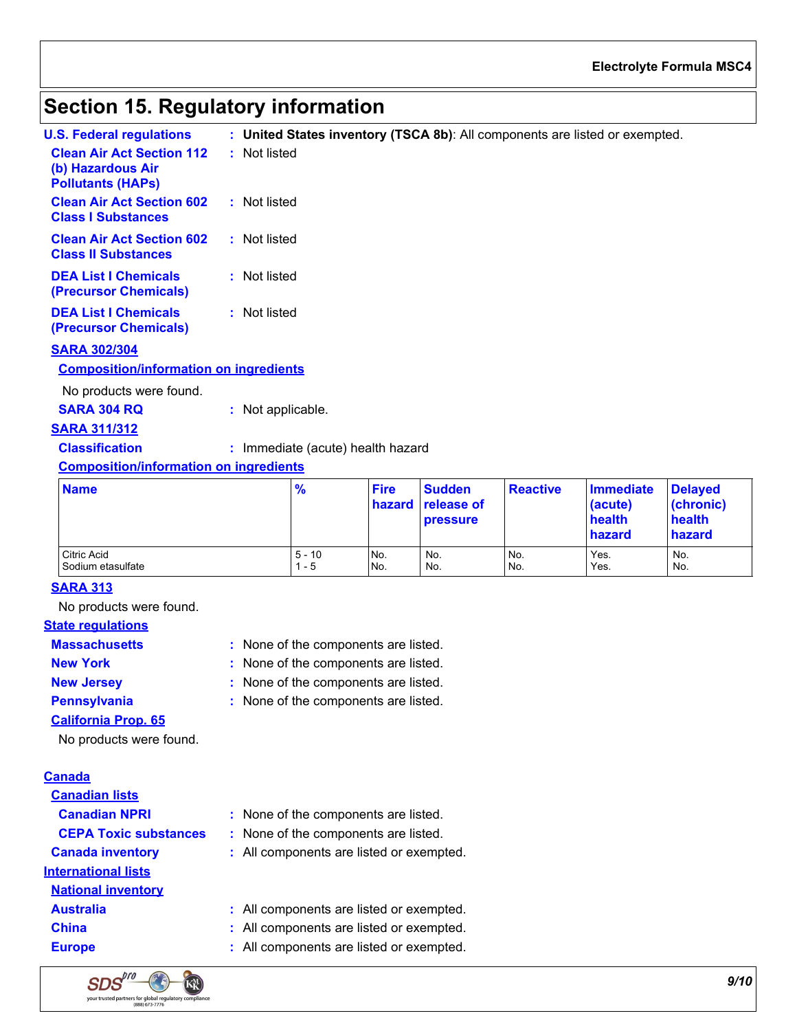### **Electrolyte Formula MSC4**

## **Section 15. Regulatory information**

| U.S. Federal requlations                                                          | : United States inventory (TSCA 8b): All components are listed or exempted. |
|-----------------------------------------------------------------------------------|-----------------------------------------------------------------------------|
| <b>Clean Air Act Section 112</b><br>(b) Hazardous Air<br><b>Pollutants (HAPS)</b> | : Not listed                                                                |
| <b>Clean Air Act Section 602</b><br><b>Class I Substances</b>                     | : Not listed                                                                |
| <b>Clean Air Act Section 602</b><br><b>Class II Substances</b>                    | : Not listed                                                                |
| <b>DEA List I Chemicals</b><br>(Precursor Chemicals)                              | : Not listed                                                                |
| <b>DEA List I Chemicals</b><br><b>(Precursor Chemicals)</b>                       | : Not listed                                                                |

### **SARA 302/304**

#### **Composition/information on ingredients**

No products were found.

| <b>SARA 304 RQ</b> | Not applicable. |
|--------------------|-----------------|
|--------------------|-----------------|

### **SARA 311/312**

**Classification :** Immediate (acute) health hazard

### **Composition/information on ingredients**

| <b>Name</b>       | $\frac{9}{6}$ | <b>Fire</b> | <b>Sudden</b><br>hazard release of<br><b>pressure</b> | <b>Reactive</b> | Immediate<br>(acute)<br>health<br>hazard | <b>Delayed</b><br>(chronic)<br>health<br>hazard |
|-------------------|---------------|-------------|-------------------------------------------------------|-----------------|------------------------------------------|-------------------------------------------------|
| Citric Acid       | $5 - 10$      | No.         | No.                                                   | No.             | Yes.                                     | No.                                             |
| Sodium etasulfate | $1 - 5$       | No.         | No.                                                   | No.             | Yes.                                     | No.                                             |

### **SARA 313**

No products were found.

### **State regulations**

None of the components are listed. **: Massachusetts**

- **New York :** None of the components are listed.
- **New Jersey :** None of the components are listed.
- **Pennsylvania :** None of the components are listed.
	-
- No products were found. **California Prop. 65**

#### **Canada**

- **Canadian lists CEPA Toxic substances :** None of the components are listed. **International lists National inventory**
	-



- 
- **Canadian NPRI :** None of the components are listed.
	-
- **Canada inventory :** All components are listed or exempted.
- **Australia :** All components are listed or exempted.
- **China :** All components are listed or exempted.
- **Europe :** All components are listed or exempted.